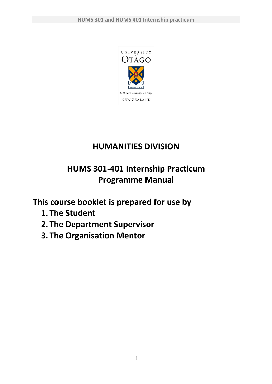

### **HUMANITIES DIVISION**

### **HUMS 301-401 Internship Practicum Programme Manual**

This course booklet is prepared for use by

- **1. The Student**
- **2. The Department Supervisor**
- **3. The Organisation Mentor**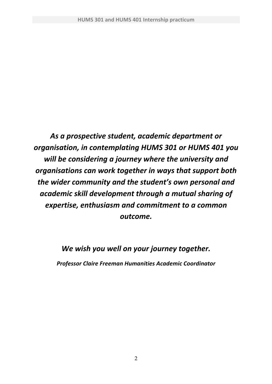As a prospective student, academic department or organisation, in contemplating HUMS 301 or HUMS 401 you will be considering a journey where the university and organisations can work together in ways that support both the wider community and the student's own personal and academic skill development through a mutual sharing of expertise, enthusiasm and commitment to a common *outcome.* 

We wish you well on your journey together.

*Professor Claire Freeman Humanities Academic Coordinator*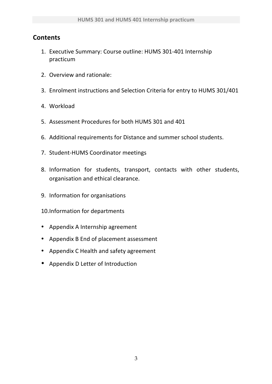#### **Contents**

- 1. Executive Summary: Course outline: HUMS 301-401 Internship practicum
- 2. Overview and rationale:
- 3. Enrolment instructions and Selection Criteria for entry to HUMS 301/401
- 4. Workload
- 5. Assessment Procedures for both HUMS 301 and 401
- 6. Additional requirements for Distance and summer school students.
- 7. Student-HUMS Coordinator meetings
- 8. Information for students, transport, contacts with other students, organisation and ethical clearance.
- 9. Information for organisations
- 10.Information for departments
- Appendix A Internship agreement
- Appendix B End of placement assessment
- Appendix C Health and safety agreement
- Appendix D Letter of Introduction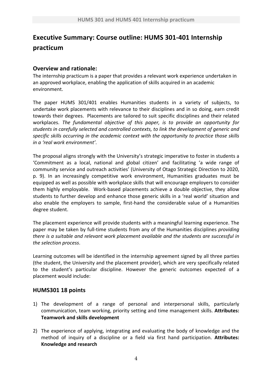### **Executive Summary: Course outline: HUMS 301-401 Internship practicum**

#### **Overview and rationale:**

The internship practicum is a paper that provides a relevant work experience undertaken in an approved workplace, enabling the application of skills acquired in an academic environment.

The paper HUMS 301/401 enables Humanities students in a variety of subjects, to undertake work placements with relevance to their disciplines and in so doing, earn credit towards their degrees. Placements are tailored to suit specific disciplines and their related workplaces. The fundamental objective of this paper, is to provide an opportunity for students in carefully selected and controlled contexts, to link the development of generic and specific skills occurring in the academic context with the opportunity to practice those skills *in a 'real work environment'*. 

The proposal aligns strongly with the University's strategic imperative to foster in students a 'Commitment as a local, national and global citizen' and facilitating 'a wide range of community service and outreach activities' (University of Otago Strategic Direction to 2020, p. 9). In an increasingly competitive work environment, Humanities graduates must be equipped as well as possible with workplace skills that will encourage employers to consider them highly employable. Work-based placements achieve a double objective, they allow students to further develop and enhance those generic skills in a 'real world' situation and also enable the employers to sample, first-hand the considerable value of a Humanities degree student.

The placement experience will provide students with a meaningful learning experience. The paper may be taken by full-time students from any of the Humanities disciplines *providing there is a suitable and relevant work placement available and the students are successful in the selection process*. 

Learning outcomes will be identified in the internship agreement signed by all three parties (the student, the University and the placement provider), which are very specifically related to the student's particular discipline. However the generic outcomes expected of a placement would include:

#### **HUMS301 18 points**

- 1) The development of a range of personal and interpersonal skills, particularly communication, team working, priority setting and time management skills. Attributes: **Teamwork and skills development**
- 2) The experience of applying, integrating and evaluating the body of knowledge and the method of inquiry of a discipline or a field via first hand participation. **Attributes: Knowledge and research**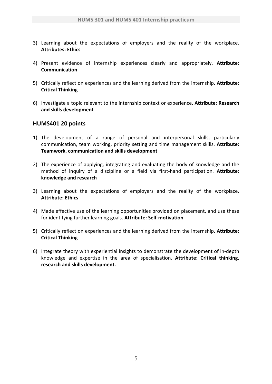- 3) Learning about the expectations of employers and the reality of the workplace. **Attributes: Ethics**
- 4) Present evidence of internship experiences clearly and appropriately. Attribute: **Communication**
- 5) Critically reflect on experiences and the learning derived from the internship. Attribute: **Critical Thinking**
- 6) Investigate a topic relevant to the internship context or experience. **Attribute: Research and skills development**

#### **HUMS401 20 points**

- 1) The development of a range of personal and interpersonal skills, particularly communication, team working, priority setting and time management skills. **Attribute: Teamwork, communication and skills development**
- 2) The experience of applying, integrating and evaluating the body of knowledge and the method of inquiry of a discipline or a field via first-hand participation. Attribute: **knowledge and research**
- 3) Learning about the expectations of employers and the reality of the workplace. **Attribute: Ethics**
- 4) Made effective use of the learning opportunities provided on placement, and use these for identifying further learning goals. Attribute: Self-motivation
- 5) Critically reflect on experiences and the learning derived from the internship. Attribute: **Critical Thinking**
- 6) Integrate theory with experiential insights to demonstrate the development of in-depth knowledge and expertise in the area of specialisation. Attribute: Critical thinking, **research and skills development.**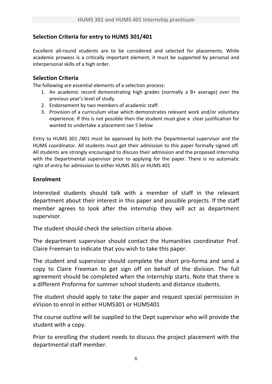#### **Selection Criteria for entry to HUMS 301/401**

Excellent all-round students are to be considered and selected for placements. While academic prowess is a critically important element, it must be supported by personal and interpersonal skills of a high order.

#### **Selection Criteria**

The following are essential elements of a selection process:

- 1. An academic record demonstrating high grades (normally a  $B+$  average) over the previous year's level of study.
- 2. Endorsement by two members of academic staff.
- 3. Provision of a curriculum vitae which demonstrates relevant work and/or voluntary experience. If this is not possible then the student must give a clear justification for wanted to undertake a placement see 5 below

Entry to HUMS 301 /401 must be approved by both the Departmental supervisor and the HUMS coordinator. All students must get their admission to this paper formally signed off. All students are strongly encouraged to discuss their admission and the proposed internship with the Departmental supervisor prior to applying for the paper. There is no automatic right of entry for admission to either HUMS 301 or HUMS 401

#### **Enrolment**

Interested students should talk with a member of staff in the relevant department about their interest in this paper and possible projects. If the staff member agrees to look after the internship they will act as department supervisor.

The student should check the selection criteria above.

The department supervisor should contact the Humanities coordinator Prof. Claire Freeman to indicate that you wish to take this paper.

The student and supervisor should complete the short pro-forma and send a copy to Claire Freeman to get sign off on behalf of the division. The full agreement should be completed when the internship starts. Note that there is a different Proforma for summer school students and distance students.

The student should apply to take the paper and request special permission in eVision to enrol in either HUMS301 or HUMS401

The course outline will be supplied to the Dept supervisor who will provide the student with a copy.

Prior to enrolling the student needs to discuss the project placement with the departmental staff member.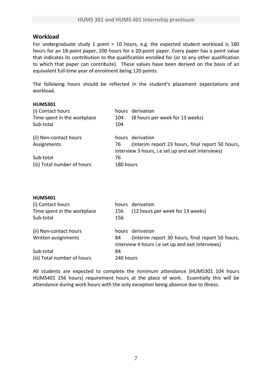#### **Workload**

For undergraduate study 1 point = 10 hours, e.g. the expected student workload is 180 hours for an 18-point paper, 200 hours for a 20-point paper. Every paper has a point value that indicates its contribution to the qualification enrolled for (or to any other qualification to which that paper can contribute). These values have been derived on the basis of an equivalent full-time year of enrolment being 120 points.

The following hours should be reflected in the student's placement expectations and workload. 

| <b>HUMS301</b>              |                                                        |
|-----------------------------|--------------------------------------------------------|
| (i) Contact hours           | hours derivation                                       |
| Time spent in the workplace | (8 hours per week for 13 weeks)<br>104                 |
| Sub-total                   | 104                                                    |
| (ii) Non-contact hours      | hours derivation                                       |
| Assignments                 | (Interim report 23 hours, final report 50 hours,<br>76 |
|                             | interview 3 hours, i.e set up and exit interviews)     |
| Sub-total                   | 76                                                     |
| (iii) Total number of hours | 180 hours                                              |

#### **HUMS401**

| (i) Contact hours<br>Time spent in the workplace<br>Sub-total | hours derivation<br>(12 hours per week for 13 weeks)<br>156<br>156                                          |
|---------------------------------------------------------------|-------------------------------------------------------------------------------------------------------------|
| (ii) Non-contact hours                                        | hours derivation                                                                                            |
| Written assignments                                           | (Interim report 30 hours, final report 50 hours,<br>84<br>interview 4 hours i.e set up and exit interviews) |
| Sub-total                                                     | 84                                                                                                          |
| (iii) Total number of hours                                   | 240 hours                                                                                                   |

All students are expected to complete the minimum attendance (HUMS301 104 hours HUMS401 156 hours) requirement hours at the place of work. Essentially this will be attendance during work hours with the only exception being absence due to illness.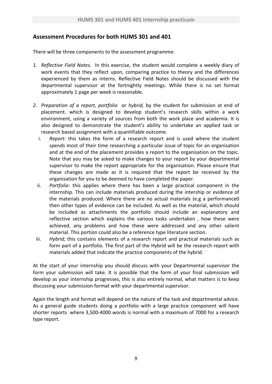#### **Assessment Procedures for both HUMS 301 and 401**

There will be three components to the assessment programme:

- 1. Reflective Field Notes. In this exercise, the student would complete a weekly diary of work events that they reflect upon, comparing practice to theory and the differences experienced by them as interns. Reflective Field Notes should be discussed with the departmental supervisor at the fortnightly meetings. While there is no set format approximately 1 page per week is reasonable.
- 2. *Preparation of a report, portfolio* or *hybrid*, by the student for submission at end of placement. which is designed to develop student's research skills within a work environment, using a variety of sources from both the work place and academia. It is also designed to demonstrate the student's ability to undertake an applied task or research based assignment with a quantifiable outcome.
	- i. Report: this takes the form of a research report and is used where the student spends most of their time researching a particular issue of topic for an organisation and at the end of the placement provides a report to the organisation on the topic. Note that you may be asked to make changes to your report by your departmental supervisor to make the report appropriate for the organisation. Please ensure that these changes are made as it is required that the report be received by the organisation for you to be deemed to have completed the paper.
	- ii. *Portfolio*: this applies where there has been a large practical component in the internship. This can include materials produced during the intership or evidence of the materials produced. Where there are no actual materials (e.g a performance0 then other types of evidence can be included. As well as the material, which should be included as attachments the portfolio should include an explanatory and reflective section which explains the various tasks undertaken, how these were achieved, any problems and how these were addressed and any other salient material. This portion could also be a reference type literature section.
- iii. Hybrid; this contains elements of a research report and practical materials such as form part of a portfolio. The first part of the Hybrid will be the research report with materials added that indicate the practice components of the hybrid.

At the start of your internship you should discuss with your Departmental supervisor the form your submission will take. It is possible that the form of your final submission will develop as your internship progresses, this is also entirely normal, what matters is to keep discussing your submission format with your departmental supervisor.

Again the length and format will depend on the nature of the task and departmental advice. As a general guide students doing a portfolio with a large practice component will have shorter reports where 3,500-4000 words is normal with a maximum of 7000 for a research type report.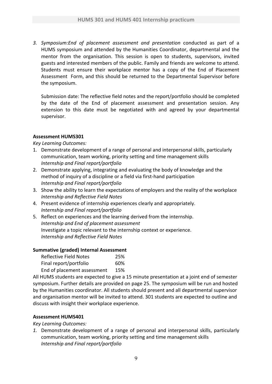*3. Symposium:End of placement assessment and presentation* conducted as part of a HUMS symposium and attended by the Humanities Coordinator, departmental and the mentor from the organisation. This session is open to students, supervisors, invited guests and interested members of the public. Family and friends are welcome to attend. Students must ensure their workplace mentor has a copy of the End of Placement Assessment Form, and this should be returned to the Departmental Supervisor before the symposium.

Submission date: The reflective field notes and the report/portfolio should be completed by the date of the End of placement assessment and presentation session. Any extension to this date must be negotiated with and agreed by your departmental supervisor. 

#### **Assessment HUMS301**

*Key Learning Outcomes:*

- 1. Demonstrate development of a range of personal and interpersonal skills, particularly communication, team working, priority setting and time management skills *Internship and Final report/portfolio*
- 2. Demonstrate applying, integrating and evaluating the body of knowledge and the method of inquiry of a discipline or a field via first-hand participation *Internship and Final report/portfolio*
- 3. Show the ability to learn the expectations of employers and the reality of the workplace *Internship and Reflective Field Notes*
- 4. Present evidence of internship experiences clearly and appropriately. *Internship and Final report/portfolio*
- 5. Reflect on experiences and the learning derived from the internship. *Internship and End of placement assessment* Investigate a topic relevant to the internship context or experience. *Internship and Reflective Field Notes*

#### **Summative (graded) Internal Assessment**

| Reflective Field Notes      | 25% |
|-----------------------------|-----|
| Final report/portfolio      | 60% |
| End of placement assessment | 15% |

All HUMS students are expected to give a 15 minute presentation at a joint end of semester symposium. Further details are provided on page 25. The symposium will be run and hosted by the Humanities coordinator. All students should present and all departmental supervisor and organisation mentor will be invited to attend. 301 students are expected to outline and discuss with insight their workplace experience.

#### **Assessment HUMS401**

*Key Learning Outcomes:*

1. Demonstrate development of a range of personal and interpersonal skills, particularly communication, team working, priority setting and time management skills *Internship and Final report/portfolio*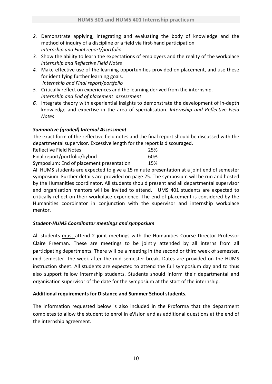- 2. Demonstrate applying, integrating and evaluating the body of knowledge and the method of inquiry of a discipline or a field via first-hand participation *Internship and Final report/portfolio*
- 3. Show the ability to learn the expectations of employers and the reality of the workplace *Internship and Reflective Field Notes*
- 4. Make effective use of the learning opportunities provided on placement, and use these for identifying further learning goals. *Internship and Final report/portfolio*
- 5. Critically reflect on experiences and the learning derived from the internship. *Internship and End of placement assessment*
- 6. Integrate theory with experiential insights to demonstrate the development of in-depth knowledge and expertise in the area of specialisation. *Internship and Reflective Field Notes*

#### *Summative (graded) Internal Assessment*

The exact form of the reflective field notes and the final report should be discussed with the departmental supervisor. Excessive length for the report is discouraged.

| Reflective Field Notes                   | -25% |
|------------------------------------------|------|
| Final report/portfolio/hybrid            | 60%  |
| Symposium: End of placement presentation | 15%  |

All HUMS students are expected to give a 15 minute presentation at a joint end of semester symposium. Further details are provided on page 25. The symposium will be run and hosted by the Humanities coordinator. All students should present and all departmental supervisor and organisation mentors will be invited to attend. HUMS 401 students are expected to critically reflect on their workplace experience. The end of placement is considered by the Humanities coordinator in conjunction with the supervisor and internship workplace mentor.

#### *Student-HUMS Coordinator meetings and symposium*

All students must attend 2 joint meetings with the Humanities Course Director Professor Claire Freeman. These are meetings to be jointly attended by all interns from all participating departments. There will be a meeting in the second or third week of semester, mid semester- the week after the mid semester break. Dates are provided on the HUMS instruction sheet. All students are expected to attend the full symposium day and to thus also support fellow internship students. Students should inform their departmental and organisation supervisor of the date for the symposium at the start of the internship.

#### Additional requirements for Distance and Summer School students.

The information requested below is also included in the Proforma that the department completes to allow the student to enrol in eVision and as additional questions at the end of the internship agreement.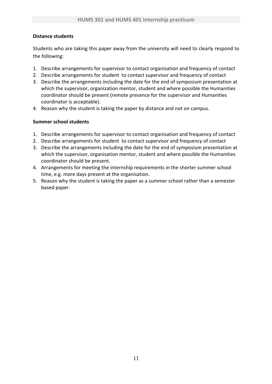#### **Distance students**

Students who are taking this paper away from the university will need to clearly respond to the following:

- 1. Describe arrangements for supervisor to contact organisation and frequency of contact
- 2. Describe arrangements for student to contact supervisor and frequency of contact
- 3. Describe the arrangements including the date for the end of symposium presentation at which the supervisor, organization mentor, student and where possible the Humanities coordinator should be present (remote presence for the supervisor and Humanities coordinator is acceptable).
- 4. Reason why the student is taking the paper by distance and not on campus.

#### **Summer school students**

- 1. Describe arrangements for supervisor to contact organisation and frequency of contact
- 2. Describe arrangements for student to contact supervisor and frequency of contact
- 3. Describe the arrangements including the date for the end of symposium presentation at which the supervisor, organisation mentor, student and where possible the Humanities coordinator should be present.
- 4. Arrangements for meeting the internship requirements in the shorter summer school time, e.g. more days present at the organisation.
- 5. Reason why the student is taking the paper as a summer school rather than a semester based paper.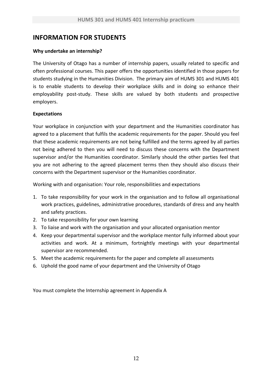#### **INFORMATION FOR STUDENTS**

#### **Why undertake an internship?**

The University of Otago has a number of internship papers, usually related to specific and often professional courses. This paper offers the opportunities identified in those papers for students studying in the Humanities Division. The primary aim of HUMS 301 and HUMS 401 is to enable students to develop their workplace skills and in doing so enhance their employability post-study. These skills are valued by both students and prospective employers. 

#### **Expectations**

Your workplace in conjunction with your department and the Humanities coordinator has agreed to a placement that fulfils the academic requirements for the paper. Should you feel that these academic requirements are not being fulfilled and the terms agreed by all parties not being adhered to then you will need to discuss these concerns with the Department supervisor and/or the Humanities coordinator. Similarly should the other parties feel that you are not adhering to the agreed placement terms then they should also discuss their concerns with the Department supervisor or the Humanities coordinator.

Working with and organisation: Your role, responsibilities and expectations

- 1. To take responsibility for your work in the organisation and to follow all organisational work practices, guidelines, administrative procedures, standards of dress and any health and safety practices.
- 2. To take responsibility for your own learning
- 3. To liaise and work with the organisation and your allocated organisation mentor
- 4. Keep your departmental supervisor and the workplace mentor fully informed about your activities and work. At a minimum, fortnightly meetings with your departmental supervisor are recommended.
- 5. Meet the academic requirements for the paper and complete all assessments
- 6. Uphold the good name of your department and the University of Otago

You must complete the Internship agreement in Appendix A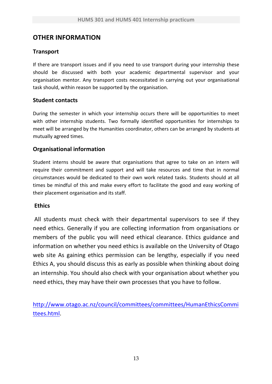#### **OTHER INFORMATION**

#### **Transport**

If there are transport issues and if you need to use transport during your internship these should be discussed with both your academic departmental supervisor and your organisation mentor. Any transport costs necessitated in carrying out your organisational task should, within reason be supported by the organisation.

#### **Student contacts**

During the semester in which your internship occurs there will be opportunities to meet with other internship students. Two formally identified opportunities for internships to meet will be arranged by the Humanities coordinator, others can be arranged by students at mutually agreed times.

#### **Organisational information**

Student interns should be aware that organisations that agree to take on an intern will require their commitment and support and will take resources and time that in normal circumstances would be dedicated to their own work related tasks. Students should at all times be mindful of this and make every effort to facilitate the good and easy working of their placement organisation and its staff.

#### **Ethics**

All students must check with their departmental supervisors to see if they need ethics. Generally if you are collecting information from organisations or members of the public you will need ethical clearance. Ethics guidance and information on whether you need ethics is available on the University of Otago web site As gaining ethics permission can be lengthy, especially if you need Ethics A, you should discuss this as early as possible when thinking about doing an internship. You should also check with your organisation about whether you need ethics, they may have their own processes that you have to follow.

http://www.otago.ac.nz/council/committees/committees/HumanEthicsCommi ttees.html.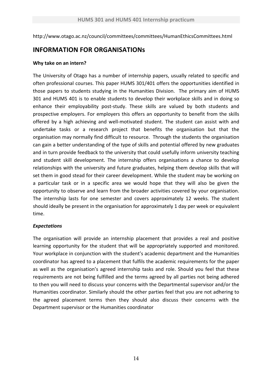http://www.otago.ac.nz/council/committees/committees/HumanEthicsCommittees.html

#### **INFORMATION FOR ORGANISATIONS**

#### **Why take on an intern?**

The University of Otago has a number of internship papers, usually related to specific and often professional courses. This paper HUMS 301/401 offers the opportunities identified in those papers to students studying in the Humanities Division. The primary aim of HUMS 301 and HUMS 401 is to enable students to develop their workplace skills and in doing so enhance their employability post-study. These skills are valued by both students and prospective employers. For employers this offers an opportunity to benefit from the skills offered by a high achieving and well-motivated student. The student can assist with and undertake tasks or a research project that benefits the organisation but that the organisation may normally find difficult to resource. Through the students the organisation can gain a better understanding of the type of skills and potential offered by new graduates and in turn provide feedback to the university that could usefully inform university teaching and student skill development. The internship offers organisations a chance to develop relationships with the university and future graduates, helping them develop skills that will set them in good stead for their career development. While the student may be working on a particular task or in a specific area we would hope that they will also be given the opportunity to observe and learn from the broader activities covered by your organisation. The internship lasts for one semester and covers approximately 12 weeks. The student should ideally be present in the organisation for approximately 1 day per week or equivalent time. 

#### *Expectations*

The organisation will provide an internship placement that provides a real and positive learning opportunity for the student that will be appropriately supported and monitored. Your workplace in conjunction with the student's academic department and the Humanities coordinator has agreed to a placement that fulfils the academic requirements for the paper as well as the organisation's agreed internship tasks and role. Should you feel that these requirements are not being fulfilled and the terms agreed by all parties not being adhered to then you will need to discuss your concerns with the Departmental supervisor and/or the Humanities coordinator. Similarly should the other parties feel that you are not adhering to the agreed placement terms then they should also discuss their concerns with the Department supervisor or the Humanities coordinator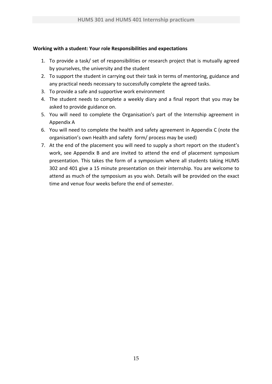#### **Working with a student: Your role Responsibilities and expectations**

- 1. To provide a task/ set of responsibilities or research project that is mutually agreed by yourselves, the university and the student
- 2. To support the student in carrying out their task in terms of mentoring, guidance and any practical needs necessary to successfully complete the agreed tasks.
- 3. To provide a safe and supportive work environment
- 4. The student needs to complete a weekly diary and a final report that you may be asked to provide guidance on.
- 5. You will need to complete the Organisation's part of the Internship agreement in Appendix A
- 6. You will need to complete the health and safety agreement in Appendix C (note the organisation's own Health and safety form/ process may be used)
- 7. At the end of the placement you will need to supply a short report on the student's work, see Appendix B and are invited to attend the end of placement symposium presentation. This takes the form of a symposium where all students taking HUMS 302 and 401 give a 15 minute presentation on their internship. You are welcome to attend as much of the symposium as you wish. Details will be provided on the exact time and venue four weeks before the end of semester.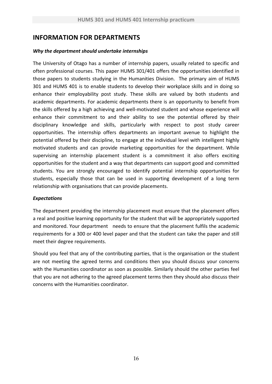#### **INFORMATION FOR DEPARTMENTS**

#### *Why the department should undertake internships*

The University of Otago has a number of internship papers, usually related to specific and often professional courses. This paper HUMS 301/401 offers the opportunities identified in those papers to students studying in the Humanities Division. The primary aim of HUMS 301 and HUMS 401 is to enable students to develop their workplace skills and in doing so enhance their employability post study. These skills are valued by both students and academic departments. For academic departments there is an opportunity to benefit from the skills offered by a high achieving and well-motivated student and whose experience will enhance their commitment to and their ability to see the potential offered by their disciplinary knowledge and skills, particularly with respect to post study career opportunities. The internship offers departments an important avenue to highlight the potential offered by their discipline, to engage at the individual level with intelligent highly motivated students and can provide marketing opportunities for the department. While supervising an internship placement student is a commitment it also offers exciting opportunities for the student and a way that departments can support good and committed students. You are strongly encouraged to identify potential internship opportunities for students, especially those that can be used in supporting development of a long term relationship with organisations that can provide placements.

#### *Expectations*

The department providing the internship placement must ensure that the placement offers a real and positive learning opportunity for the student that will be appropriately supported and monitored. Your department needs to ensure that the placement fulfils the academic requirements for a 300 or 400 level paper and that the student can take the paper and still meet their degree requirements.

Should you feel that any of the contributing parties, that is the organisation or the student are not meeting the agreed terms and conditions then you should discuss your concerns with the Humanities coordinator as soon as possible. Similarly should the other parties feel that you are not adhering to the agreed placement terms then they should also discuss their concerns with the Humanities coordinator.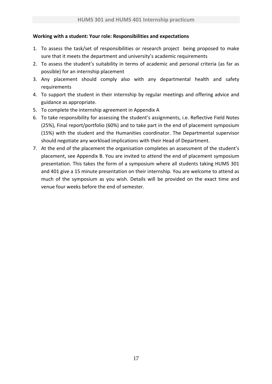#### **Working with a student: Your role: Responsibilities and expectations**

- 1. To assess the task/set of responsibilities or research project being proposed to make sure that it meets the department and university's academic requirements
- 2. To assess the student's suitability in terms of academic and personal criteria (as far as possible) for an internship placement
- 3. Any placement should comply also with any departmental health and safety requirements
- 4. To support the student in their internship by regular meetings and offering advice and guidance as appropriate.
- 5. To complete the internship agreement in Appendix A
- 6. To take responsibility for assessing the student's assignments, i.e. Reflective Field Notes (25%), Final report/portfolio (60%) and to take part in the end of placement symposium (15%) with the student and the Humanities coordinator. The Departmental supervisor should negotiate any workload implications with their Head of Department.
- 7. At the end of the placement the organisation completes an assessment of the student's placement, see Appendix B. You are invited to attend the end of placement symposium presentation. This takes the form of a symposium where all students taking HUMS 301 and 401 give a 15 minute presentation on their internship. You are welcome to attend as much of the symposium as you wish. Details will be provided on the exact time and venue four weeks before the end of semester.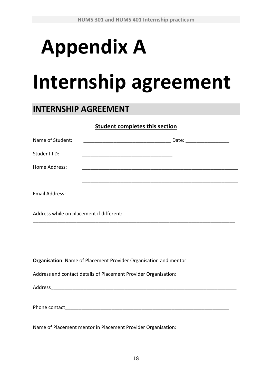# **Appendix A**

# **Internship agreement**

### **INTERNSHIP AGREEMENT**

#### **Student completes this section**

| Name of Student:                         |                                                                   |  |
|------------------------------------------|-------------------------------------------------------------------|--|
| Student ID:                              |                                                                   |  |
| Home Address:                            |                                                                   |  |
|                                          |                                                                   |  |
| <b>Email Address:</b>                    |                                                                   |  |
|                                          |                                                                   |  |
| Address while on placement if different: |                                                                   |  |
|                                          |                                                                   |  |
|                                          |                                                                   |  |
|                                          | Organisation: Name of Placement Provider Organisation and mentor: |  |
|                                          | Address and contact details of Placement Provider Organisation:   |  |
|                                          |                                                                   |  |
|                                          |                                                                   |  |
|                                          | Name of Placement mentor in Placement Provider Organisation:      |  |
|                                          |                                                                   |  |

\_\_\_\_\_\_\_\_\_\_\_\_\_\_\_\_\_\_\_\_\_\_\_\_\_\_\_\_\_\_\_\_\_\_\_\_\_\_\_\_\_\_\_\_\_\_\_\_\_\_\_\_\_\_\_\_\_\_\_\_\_\_\_\_\_\_\_\_\_\_\_\_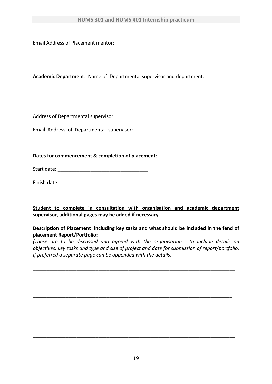\_\_\_\_\_\_\_\_\_\_\_\_\_\_\_\_\_\_\_\_\_\_\_\_\_\_\_\_\_\_\_\_\_\_\_\_\_\_\_\_\_\_\_\_\_\_\_\_\_\_\_\_\_\_\_\_\_\_\_\_\_\_\_\_\_\_\_\_\_\_\_\_\_\_\_

Email Address of Placement mentor:

**Academic Department:** Name of Departmental supervisor and department: \_\_\_\_\_\_\_\_\_\_\_\_\_\_\_\_\_\_\_\_\_\_\_\_\_\_\_\_\_\_\_\_\_\_\_\_\_\_\_\_\_\_\_\_\_\_\_\_\_\_\_\_\_\_\_\_\_\_\_\_\_\_\_\_\_\_\_\_\_\_\_\_\_\_\_ Address of Departmental supervisor: \_\_\_\_\_\_\_\_\_\_\_\_\_\_\_\_\_\_\_\_\_\_\_\_\_\_\_\_\_\_\_\_\_\_\_\_\_\_\_\_\_\_\_ Email Address of Departmental supervisor: **Email Address of Departmental** supervisor:

Dates for commencement & completion of placement:

Start date: \_\_\_\_\_\_\_\_\_\_\_\_\_\_\_\_\_\_\_\_\_\_\_\_\_\_\_\_\_\_\_\_\_

Finish date

Student to complete in consultation with organisation and academic department supervisor, additional pages may be added if necessary

Description of Placement including key tasks and what should be included in the fend of **placement Report/Portfolio:**

*(These are to be discussed and agreed with the organisation - to include details on objectives, key tasks and type and size of project and date for submission of report/portfolio. If preferred a separate page can be appended with the details)* 

\_\_\_\_\_\_\_\_\_\_\_\_\_\_\_\_\_\_\_\_\_\_\_\_\_\_\_\_\_\_\_\_\_\_\_\_\_\_\_\_\_\_\_\_\_\_\_\_\_\_\_\_\_\_\_\_\_\_\_\_\_\_\_\_\_\_\_\_\_\_\_\_\_\_

\_\_\_\_\_\_\_\_\_\_\_\_\_\_\_\_\_\_\_\_\_\_\_\_\_\_\_\_\_\_\_\_\_\_\_\_\_\_\_\_\_\_\_\_\_\_\_\_\_\_\_\_\_\_\_\_\_\_\_\_\_\_\_\_\_\_\_\_\_\_\_\_\_\_

\_\_\_\_\_\_\_\_\_\_\_\_\_\_\_\_\_\_\_\_\_\_\_\_\_\_\_\_\_\_\_\_\_\_\_\_\_\_\_\_\_\_\_\_\_\_\_\_\_\_\_\_\_\_\_\_\_\_\_\_\_\_\_\_\_\_\_\_\_\_\_\_\_

\_\_\_\_\_\_\_\_\_\_\_\_\_\_\_\_\_\_\_\_\_\_\_\_\_\_\_\_\_\_\_\_\_\_\_\_\_\_\_\_\_\_\_\_\_\_\_\_\_\_\_\_\_\_\_\_\_\_\_\_\_\_\_\_\_\_\_\_\_\_\_\_\_

\_\_\_\_\_\_\_\_\_\_\_\_\_\_\_\_\_\_\_\_\_\_\_\_\_\_\_\_\_\_\_\_\_\_\_\_\_\_\_\_\_\_\_\_\_\_\_\_\_\_\_\_\_\_\_\_\_\_\_\_\_\_\_\_\_\_\_\_\_\_\_\_\_

\_\_\_\_\_\_\_\_\_\_\_\_\_\_\_\_\_\_\_\_\_\_\_\_\_\_\_\_\_\_\_\_\_\_\_\_\_\_\_\_\_\_\_\_\_\_\_\_\_\_\_\_\_\_\_\_\_\_\_\_\_\_\_\_\_\_\_\_\_\_\_\_\_\_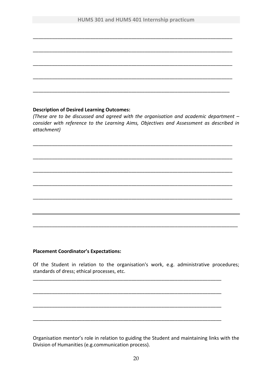#### **Description of Desired Learning Outcomes:**

(These are to be discussed and agreed with the organisation and academic department consider with reference to the Learning Aims, Objectives and Assessment as described in attachment)

#### **Placement Coordinator's Expectations:**

Of the Student in relation to the organisation's work, e.g. administrative procedures; standards of dress; ethical processes, etc.

Organisation mentor's role in relation to guiding the Student and maintaining links with the Division of Humanities (e.g.communication process).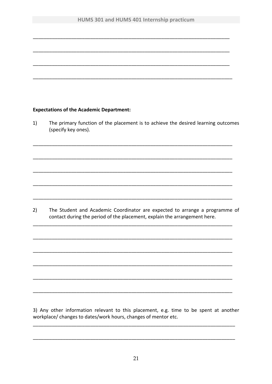#### **Expectations of the Academic Department:**

The primary function of the placement is to achieve the desired learning outcomes  $1)$ (specify key ones).

 $2)$ The Student and Academic Coordinator are expected to arrange a programme of contact during the period of the placement, explain the arrangement here.

3) Any other information relevant to this placement, e.g. time to be spent at another workplace/changes to dates/work hours, changes of mentor etc.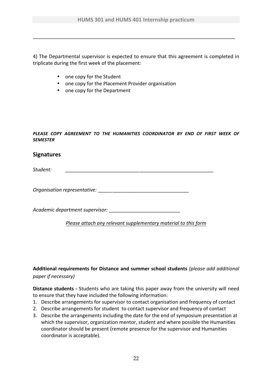\_\_\_\_\_\_\_\_\_\_\_\_\_\_\_\_\_\_\_\_\_\_\_\_\_\_\_\_\_\_\_\_\_\_\_\_\_\_\_\_\_\_\_\_\_\_\_\_\_\_\_\_\_\_\_\_\_\_\_\_\_\_\_\_\_\_\_\_\_\_\_\_\_\_

4) The Departmental supervisor is expected to ensure that this agreement is completed in triplicate during the first week of the placement:

- one copy for the Student
- one copy for the Placement Provider organisation
- one copy for the Department

#### PLEASE COPY AGREEMENT TO THE HUMANITIES COORDINATOR BY END OF FIRST WEEK OF *SEMESTER*

#### **Signatures**

*Student: \_\_\_\_\_\_\_\_\_\_\_\_\_\_\_\_\_\_\_\_\_\_\_\_\_\_\_*\_\_\_\_\_\_\_\_\_\_\_\_\_\_\_\_\_\_\_\_\_\_\_\_\_\_\_

*Organisation representative: \_\_\_\_\_*\_\_\_\_\_\_\_\_\_\_\_\_\_\_\_\_\_\_\_\_\_\_\_\_\_\_\_\_

*Academic department supervisor:* \_\_\_\_\_\_\_\_\_\_\_\_\_\_\_\_\_\_\_\_\_\_\_\_\_\_

*Please attach any relevant supplementary material to this form* 

Additional requirements for Distance and summer school students (please add additional *paper if necessary*)

**Distance students** - Students who are taking this paper away from the university will need to ensure that they have included the following information:

- 1. Describe arrangements for supervisor to contact organisation and frequency of contact
- 2. Describe arrangements for student to contact supervisor and frequency of contact
- 3. Describe the arrangements including the date for the end of symposium presentation at which the supervisor, organization mentor, student and where possible the Humanities coordinator should be present (remote presence for the supervisor and Humanities coordinator is acceptable).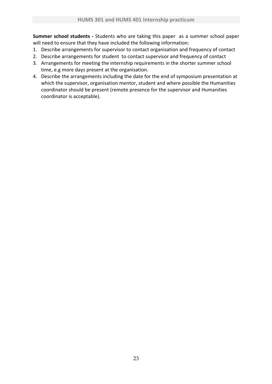**Summer school students** - Students who are taking this paper as a summer school paper will need to ensure that they have included the following information:

- 1. Describe arrangements for supervisor to contact organisation and frequency of contact
- 2. Describe arrangements for student to contact supervisor and frequency of contact
- 3. Arrangements for meeting the internship requirements in the shorter summer school time, e.g more days present at the organisation.
- 4. Describe the arrangements including the date for the end of symposium presentation at which the supervisor, organisation mentor, student and where possible the Humanities coordinator should be present (remote presence for the supervisor and Humanities coordinator is acceptable).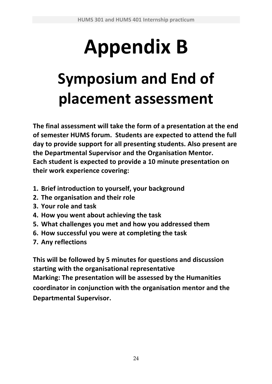## **Appendix B Symposium and End of placement assessment**

**The final assessment will take the form of a presentation at the end** of semester HUMS forum. Students are expected to attend the full day to provide support for all presenting students. Also present are **the Departmental Supervisor and the Organisation Mentor. Each student is expected to provide a 10 minute presentation on their work experience covering:**

- **1.** Brief introduction to yourself, your background
- **2.** The organisation and their role
- **3. Your role and task**
- **4. How you went about achieving the task**
- **5. What challenges you met and how you addressed them**
- **6. How successful you were at completing the task**
- **7. Any reflections**

**This will be followed by 5 minutes for questions and discussion** starting with the organisational representative **Marking: The presentation will be assessed by the Humanities** coordinator in conjunction with the organisation mentor and the **Departmental Supervisor.**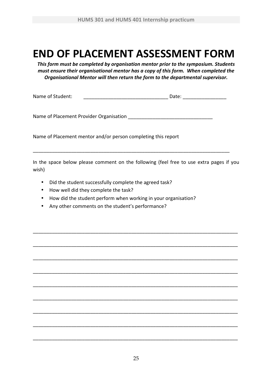### **END OF PLACEMENT ASSESSMENT FORM**

This form must be completed by organisation mentor prior to the symposium. Students *must ensure their organisational mentor has a copy of this form. When completed the* **Organisational Mentor will then return the form to the departmental supervisor.** 

Name of Student: example and the student of Student: and the Student of Students and the Student of Students and Tu

Name of Placement Provider Organisation \_

Name of Placement mentor and/or person completing this report

In the space below please comment on the following (feel free to use extra pages if you wish)

\_\_\_\_\_\_\_\_\_\_\_\_\_\_\_\_\_\_\_\_\_\_\_\_\_\_\_\_\_\_\_\_\_\_\_\_\_\_\_\_\_\_\_\_\_\_\_\_\_\_\_\_\_\_\_\_\_\_\_\_\_\_\_\_\_\_\_\_\_\_\_\_\_\_\_

\_\_\_\_\_\_\_\_\_\_\_\_\_\_\_\_\_\_\_\_\_\_\_\_\_\_\_\_\_\_\_\_\_\_\_\_\_\_\_\_\_\_\_\_\_\_\_\_\_\_\_\_\_\_\_\_\_\_\_\_\_\_\_\_\_\_\_\_\_\_\_\_\_\_\_

\_\_\_\_\_\_\_\_\_\_\_\_\_\_\_\_\_\_\_\_\_\_\_\_\_\_\_\_\_\_\_\_\_\_\_\_\_\_\_\_\_\_\_\_\_\_\_\_\_\_\_\_\_\_\_\_\_\_\_\_\_\_\_\_\_\_\_\_\_\_\_\_\_\_\_

\_\_\_\_\_\_\_\_\_\_\_\_\_\_\_\_\_\_\_\_\_\_\_\_\_\_\_\_\_\_\_\_\_\_\_\_\_\_\_\_\_\_\_\_\_\_\_\_\_\_\_\_\_\_\_\_\_\_\_\_\_\_\_\_\_\_\_\_\_\_\_\_\_\_\_

\_\_\_\_\_\_\_\_\_\_\_\_\_\_\_\_\_\_\_\_\_\_\_\_\_\_\_\_\_\_\_\_\_\_\_\_\_\_\_\_\_\_\_\_\_\_\_\_\_\_\_\_\_\_\_\_\_\_\_\_\_\_\_\_\_\_\_\_\_\_\_\_\_\_\_

\_\_\_\_\_\_\_\_\_\_\_\_\_\_\_\_\_\_\_\_\_\_\_\_\_\_\_\_\_\_\_\_\_\_\_\_\_\_\_\_\_\_\_\_\_\_\_\_\_\_\_\_\_\_\_\_\_\_\_\_\_\_\_\_\_\_\_\_\_\_\_\_\_\_\_

\_\_\_\_\_\_\_\_\_\_\_\_\_\_\_\_\_\_\_\_\_\_\_\_\_\_\_\_\_\_\_\_\_\_\_\_\_\_\_\_\_\_\_\_\_\_\_\_\_\_\_\_\_\_\_\_\_\_\_\_\_\_\_\_\_\_\_\_\_\_\_\_\_\_\_

\_\_\_\_\_\_\_\_\_\_\_\_\_\_\_\_\_\_\_\_\_\_\_\_\_\_\_\_\_\_\_\_\_\_\_\_\_\_\_\_\_\_\_\_\_\_\_\_\_\_\_\_\_\_\_\_\_\_\_\_\_\_\_\_\_\_\_\_\_\_\_\_\_\_\_

\_\_\_\_\_\_\_\_\_\_\_\_\_\_\_\_\_\_\_\_\_\_\_\_\_\_\_\_\_\_\_\_\_\_\_\_\_\_\_\_\_\_\_\_\_\_\_\_\_\_\_\_\_\_\_\_\_\_\_\_\_\_\_\_\_\_\_\_\_\_\_\_\_\_\_

\_\_\_\_\_\_\_\_\_\_\_\_\_\_\_\_\_\_\_\_\_\_\_\_\_\_\_\_\_\_\_\_\_\_\_\_\_\_\_\_\_\_\_\_\_\_\_\_\_\_\_\_\_\_\_\_\_\_\_\_\_\_\_\_\_\_\_\_\_\_\_\_

- Did the student successfully complete the agreed task?
- How well did they complete the task?
- How did the student perform when working in your organisation?
- Any other comments on the student's performance?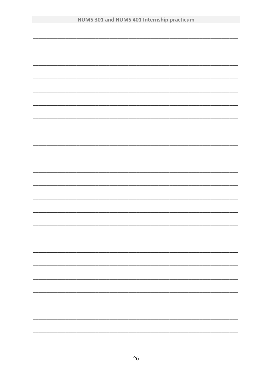| HUMS 301 and HUMS 401 Internship practicum |  |  |
|--------------------------------------------|--|--|
|                                            |  |  |
|                                            |  |  |
|                                            |  |  |
|                                            |  |  |
|                                            |  |  |
|                                            |  |  |
|                                            |  |  |
|                                            |  |  |
|                                            |  |  |
|                                            |  |  |
|                                            |  |  |
|                                            |  |  |
|                                            |  |  |
|                                            |  |  |
|                                            |  |  |
|                                            |  |  |
|                                            |  |  |
|                                            |  |  |
|                                            |  |  |
|                                            |  |  |
|                                            |  |  |
|                                            |  |  |
|                                            |  |  |
|                                            |  |  |
|                                            |  |  |
|                                            |  |  |
|                                            |  |  |
|                                            |  |  |
|                                            |  |  |
|                                            |  |  |
|                                            |  |  |
|                                            |  |  |
|                                            |  |  |
|                                            |  |  |
|                                            |  |  |
|                                            |  |  |
|                                            |  |  |
|                                            |  |  |
|                                            |  |  |
|                                            |  |  |
|                                            |  |  |
|                                            |  |  |
|                                            |  |  |
|                                            |  |  |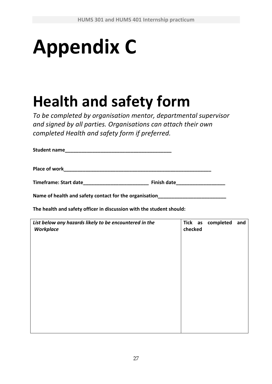# **Appendix C**

## **Health and safety form**

To be completed by organisation mentor, departmental supervisor and signed by all parties. Organisations can attach their own *completed Health and safety form if preferred.*

| Name of health and safety contact for the organisation__________________________ |  |
|----------------------------------------------------------------------------------|--|
| The health and safety officer in discussion with the student should:             |  |
|                                                                                  |  |

| List below any hazards likely to be encountered in the<br><b>Workplace</b> | checked | Tick as completed | and |
|----------------------------------------------------------------------------|---------|-------------------|-----|
|                                                                            |         |                   |     |
|                                                                            |         |                   |     |
|                                                                            |         |                   |     |
|                                                                            |         |                   |     |
|                                                                            |         |                   |     |
|                                                                            |         |                   |     |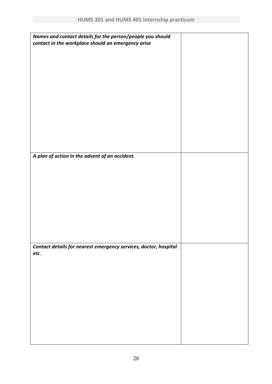| Names and contact details for the person/people you should       |  |
|------------------------------------------------------------------|--|
|                                                                  |  |
| contact in the workplace should an emergency arise               |  |
|                                                                  |  |
|                                                                  |  |
|                                                                  |  |
|                                                                  |  |
|                                                                  |  |
|                                                                  |  |
|                                                                  |  |
|                                                                  |  |
|                                                                  |  |
|                                                                  |  |
|                                                                  |  |
|                                                                  |  |
|                                                                  |  |
|                                                                  |  |
|                                                                  |  |
|                                                                  |  |
|                                                                  |  |
|                                                                  |  |
|                                                                  |  |
|                                                                  |  |
|                                                                  |  |
|                                                                  |  |
|                                                                  |  |
|                                                                  |  |
|                                                                  |  |
|                                                                  |  |
|                                                                  |  |
|                                                                  |  |
|                                                                  |  |
|                                                                  |  |
|                                                                  |  |
|                                                                  |  |
|                                                                  |  |
| A plan of action in the advent of an accident.                   |  |
|                                                                  |  |
|                                                                  |  |
|                                                                  |  |
|                                                                  |  |
|                                                                  |  |
|                                                                  |  |
|                                                                  |  |
|                                                                  |  |
|                                                                  |  |
|                                                                  |  |
|                                                                  |  |
|                                                                  |  |
|                                                                  |  |
|                                                                  |  |
|                                                                  |  |
|                                                                  |  |
|                                                                  |  |
|                                                                  |  |
|                                                                  |  |
|                                                                  |  |
|                                                                  |  |
|                                                                  |  |
|                                                                  |  |
|                                                                  |  |
|                                                                  |  |
|                                                                  |  |
| Contact details for nearest emergency services, doctor, hospital |  |
|                                                                  |  |
| etc.                                                             |  |
|                                                                  |  |
|                                                                  |  |
|                                                                  |  |
|                                                                  |  |
|                                                                  |  |
|                                                                  |  |
|                                                                  |  |
|                                                                  |  |
|                                                                  |  |
|                                                                  |  |
|                                                                  |  |
|                                                                  |  |
|                                                                  |  |
|                                                                  |  |
|                                                                  |  |
|                                                                  |  |
|                                                                  |  |
|                                                                  |  |
|                                                                  |  |
|                                                                  |  |
|                                                                  |  |
|                                                                  |  |
|                                                                  |  |
|                                                                  |  |
|                                                                  |  |
|                                                                  |  |
|                                                                  |  |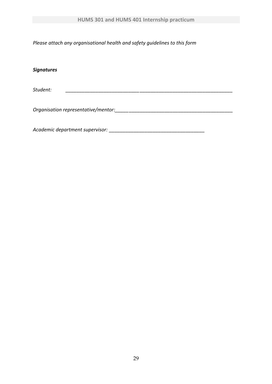*Please attach any organisational health and safety guidelines to this form* 

*Signatures*

*Student: \_\_\_\_\_\_\_\_\_\_\_\_\_\_\_\_\_\_\_\_\_\_\_\_\_\_\_*\_\_\_\_\_\_\_\_\_\_\_\_\_\_\_\_\_\_\_\_\_\_\_\_\_\_\_\_\_\_\_\_\_\_

*Organisation representative/mentor:\_\_\_\_\_*\_\_\_\_\_\_\_\_\_\_\_\_\_\_\_\_\_\_\_\_\_\_\_\_\_\_\_\_\_\_\_\_\_\_\_\_\_\_

*Academic department supervisor:* \_\_\_\_\_\_\_\_\_\_\_\_\_\_\_\_\_\_\_\_\_\_\_\_\_\_\_\_\_\_\_\_\_\_\_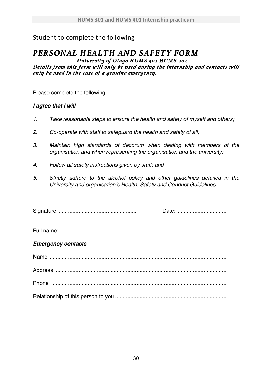#### Student to complete the following

### *PERSONAL HEALTH AND SAFETY FORM University of Otago HUMS 301 HUMS 401*

*Details from this form will only be used during the internship and contacts will only be used in the case of a genuine emergency.* 

Please complete the following

#### *I agree that I will*

- *1. Take reasonable steps to ensure the health and safety of myself and others;*
- *2. Co-operate with staff to safeguard the health and safety of all;*
- *3. Maintain high standards of decorum when dealing with members of the organisation and when representing the organisation and the university;*
- *4. Follow all safety instructions given by staff; and*
- *5. Strictly adhere to the alcohol policy and other guidelines detailed in the University and organisation's Health, Safety and Conduct Guidelines.*

|                           | Date: |
|---------------------------|-------|
|                           |       |
| <b>Emergency contacts</b> |       |
|                           |       |
|                           |       |
|                           |       |
|                           |       |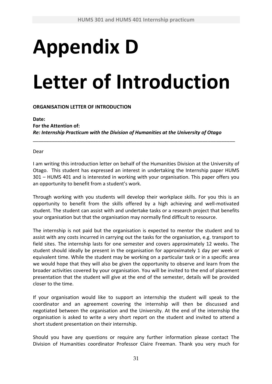## **Appendix D**

## Letter of Introduction

**ORGANISATION LETTER OF INTRODUCTION** 

**Date: For the Attention of:** *Re: Internship Practicum with the Division of Humanities at the University of Otago*

\_\_\_\_\_\_\_\_\_\_\_\_\_\_\_\_\_\_\_\_\_\_\_\_\_\_\_\_\_\_\_\_\_\_\_\_\_\_\_\_\_\_\_\_\_\_\_\_\_\_\_\_\_\_\_\_\_\_\_\_\_\_\_\_\_\_\_\_\_\_\_\_\_\_

Dear

I am writing this introduction letter on behalf of the Humanities Division at the University of Otago. This student has expressed an interest in undertaking the Internship paper HUMS 301 – HUMS 401 and is interested in working with your organisation. This paper offers you an opportunity to benefit from a student's work.

Through working with you students will develop their workplace skills. For you this is an opportunity to benefit from the skills offered by a high achieving and well-motivated student. The student can assist with and undertake tasks or a research project that benefits your organisation but that the organisation may normally find difficult to resource.

The internship is not paid but the organisation is expected to mentor the student and to assist with any costs incurred in carrying out the tasks for the organisation, e.g. transport to field sites. The internship lasts for one semester and covers approximately 12 weeks. The student should ideally be present in the organisation for approximately 1 day per week or equivalent time. While the student may be working on a particular task or in a specific area we would hope that they will also be given the opportunity to observe and learn from the broader activities covered by your organisation. You will be invited to the end of placement presentation that the student will give at the end of the semester, details will be provided closer to the time.

If your organisation would like to support an internship the student will speak to the coordinator and an agreement covering the internship will then be discussed and negotiated between the organisation and the University. At the end of the internship the organisation is asked to write a very short report on the student and invited to attend a short student presentation on their internship.

Should you have any questions or require any further information please contact The Division of Humanities coordinator Professor Claire Freeman. Thank you very much for